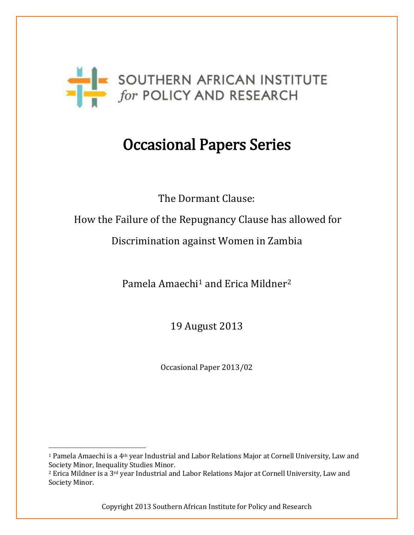

# Occasional Papers Series

The Dormant Clause:

How the Failure of the Repugnancy Clause has allowed for

Discrimination against Women in Zambia

Pamela Amaechi<sup>1</sup> and Erica Mildner<sup>2</sup>

19 August 2013

Occasional Paper 2013/02

 $\overline{\phantom{a}}$ 

<sup>1</sup> Pamela Amaechi is a 4th year Industrial and Labor Relations Major at Cornell University, Law and Society Minor, Inequality Studies Minor.

<sup>2</sup> Erica Mildner is a 3rd year Industrial and Labor Relations Major at Cornell University, Law and Society Minor.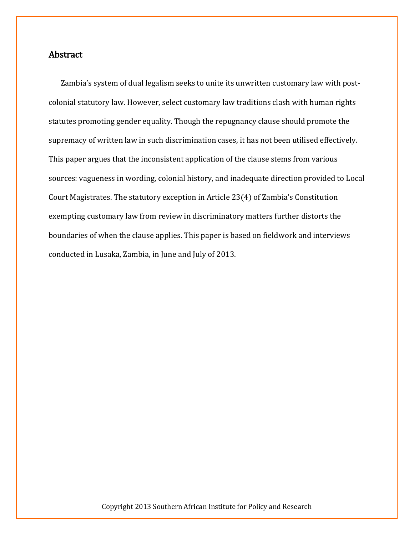## Abstract

Zambia's system of dual legalism seeks to unite its unwritten customary law with postcolonial statutory law. However, select customary law traditions clash with human rights statutes promoting gender equality. Though the repugnancy clause should promote the supremacy of written law in such discrimination cases, it has not been utilised effectively. This paper argues that the inconsistent application of the clause stems from various sources: vagueness in wording, colonial history, and inadequate direction provided to Local Court Magistrates. The statutory exception in Article 23(4) of Zambia's Constitution exempting customary law from review in discriminatory matters further distorts the boundaries of when the clause applies. This paper is based on fieldwork and interviews conducted in Lusaka, Zambia, in June and July of 2013.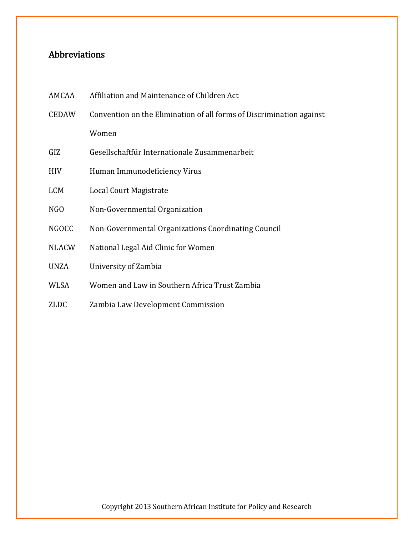# Abbreviations

| AMCAA        | Affiliation and Maintenance of Children Act                          |
|--------------|----------------------------------------------------------------------|
| <b>CEDAW</b> | Convention on the Elimination of all forms of Discrimination against |
|              | Women                                                                |
| GIZ          | Gesellschaftfür Internationale Zusammenarbeit                        |
| <b>HIV</b>   | Human Immunodeficiency Virus                                         |
| <b>LCM</b>   | Local Court Magistrate                                               |
| NGO          | Non-Governmental Organization                                        |
| <b>NGOCC</b> | Non-Governmental Organizations Coordinating Council                  |
| <b>NLACW</b> | National Legal Aid Clinic for Women                                  |
| <b>UNZA</b>  | University of Zambia                                                 |
| <b>WLSA</b>  | Women and Law in Southern Africa Trust Zambia                        |
| <b>ZLDC</b>  | Zambia Law Development Commission                                    |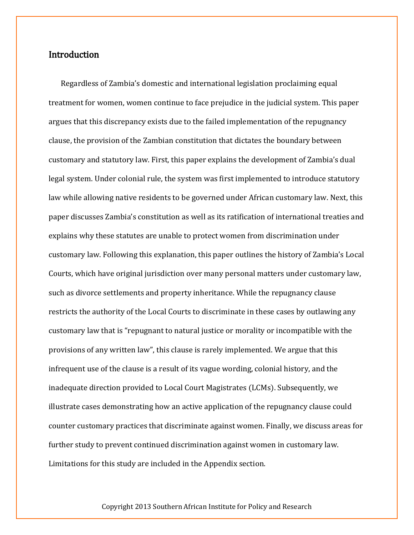## **Introduction**

Regardless of Zambia's domestic and international legislation proclaiming equal treatment for women, women continue to face prejudice in the judicial system. This paper argues that this discrepancy exists due to the failed implementation of the repugnancy clause, the provision of the Zambian constitution that dictates the boundary between customary and statutory law. First, this paper explains the development of Zambia's dual legal system. Under colonial rule, the system was first implemented to introduce statutory law while allowing native residents to be governed under African customary law. Next, this paper discusses Zambia's constitution as well as its ratification of international treaties and explains why these statutes are unable to protect women from discrimination under customary law. Following this explanation, this paper outlines the history of Zambia's Local Courts, which have original jurisdiction over many personal matters under customary law, such as divorce settlements and property inheritance. While the repugnancy clause restricts the authority of the Local Courts to discriminate in these cases by outlawing any customary law that is "repugnant to natural justice or morality or incompatible with the provisions of any written law", this clause is rarely implemented. We argue that this infrequent use of the clause is a result of its vague wording, colonial history, and the inadequate direction provided to Local Court Magistrates (LCMs). Subsequently, we illustrate cases demonstrating how an active application of the repugnancy clause could counter customary practices that discriminate against women. Finally, we discuss areas for further study to prevent continued discrimination against women in customary law. Limitations for this study are included in the Appendix section.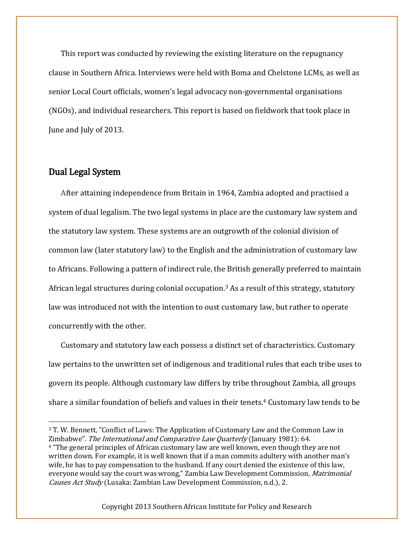This report was conducted by reviewing the existing literature on the repugnancy clause in Southern Africa. Interviews were held with Boma and Chelstone LCMs, as well as senior Local Court officials, women's legal advocacy non-governmental organisations (NGOs), and individual researchers. This report is based on fieldwork that took place in June and July of 2013.

### Dual Legal System

 $\overline{\phantom{a}}$ 

After attaining independence from Britain in 1964, Zambia adopted and practised a system of dual legalism. The two legal systems in place are the customary law system and the statutory law system. These systems are an outgrowth of the colonial division of common law (later statutory law) to the English and the administration of customary law to Africans. Following a pattern of indirect rule, the British generally preferred to maintain African legal structures during colonial occupation.<sup>3</sup> As a result of this strategy, statutory law was introduced not with the intention to oust customary law, but rather to operate concurrently with the other.

Customary and statutory law each possess a distinct set of characteristics. Customary law pertains to the unwritten set of indigenous and traditional rules that each tribe uses to govern its people. Although customary law differs by tribe throughout Zambia, all groups share a similar foundation of beliefs and values in their tenets.<sup>4</sup> Customary law tends to be

<sup>3</sup> T. W. Bennett, "Conflict of Laws: The Application of Customary Law and the Common Law in Zimbabwe". The International and Comparative Law Quarterly (January 1981): 64. <sup>4</sup> "The general principles of African customary law are well known, even though they are not written down. For example, it is well known that if a man commits adultery with another man's wife, he has to pay compensation to the husband. If any court denied the existence of this law, everyone would say the court was wrong," Zambia Law Development Commission, Matrimonial Causes Act Study (Lusaka: Zambian Law Development Commission, n.d.), 2.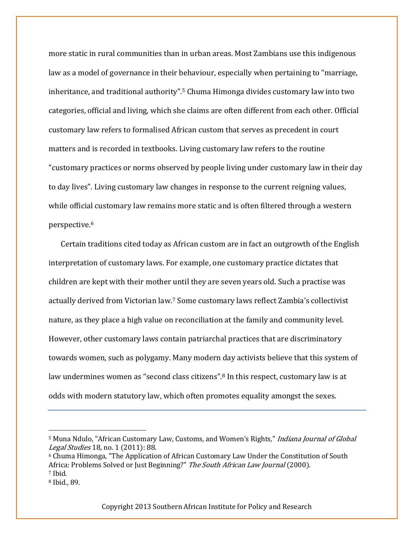more static in rural communities than in urban areas. Most Zambians use this indigenous law as a model of governance in their behaviour, especially when pertaining to "marriage, inheritance, and traditional authority".<sup>5</sup> Chuma Himonga divides customary law into two categories, official and living, which she claims are often different from each other. Official customary law refers to formalised African custom that serves as precedent in court matters and is recorded in textbooks. Living customary law refers to the routine "customary practices or norms observed by people living under customary law in their day to day lives". Living customary law changes in response to the current reigning values, while official customary law remains more static and is often filtered through a western perspective.<sup>6</sup>

Certain traditions cited today as African custom are in fact an outgrowth of the English interpretation of customary laws. For example, one customary practice dictates that children are kept with their mother until they are seven years old. Such a practise was actually derived from Victorian law.<sup>7</sup> Some customary laws reflect Zambia's collectivist nature, as they place a high value on reconciliation at the family and community level. However, other customary laws contain patriarchal practices that are discriminatory towards women, such as polygamy. Many modern day activists believe that this system of law undermines women as "second class citizens".<sup>8</sup> In this respect, customary law is at odds with modern statutory law, which often promotes equality amongst the sexes.

 $\overline{\phantom{a}}$ 

<sup>&</sup>lt;sup>5</sup> Muna Ndulo, "African Customary Law, Customs, and Women's Rights," *Indiana Journal of Global* Legal Studies 18, no. 1 (2011): 88.

<sup>6</sup> Chuma Himonga, "The Application of African Customary Law Under the Constitution of South Africa: Problems Solved or Just Beginning?" The South African Law Journal (2000). <sup>7</sup> Ibid.

<sup>8</sup> Ibid., 89.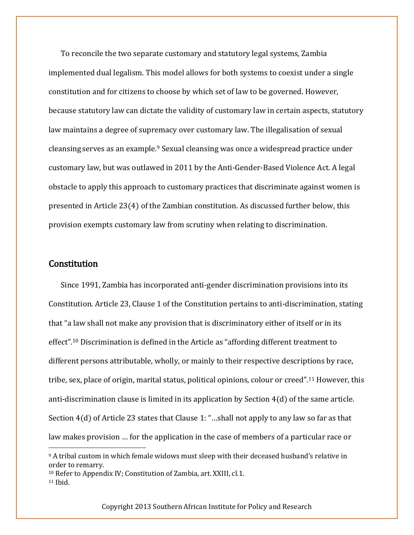To reconcile the two separate customary and statutory legal systems, Zambia implemented dual legalism. This model allows for both systems to coexist under a single constitution and for citizens to choose by which set of law to be governed. However, because statutory law can dictate the validity of customary law in certain aspects, statutory law maintains a degree of supremacy over customary law. The illegalisation of sexual cleansing serves as an example.<sup>9</sup> Sexual cleansing was once a widespread practice under customary law, but was outlawed in 2011 by the Anti-Gender-Based Violence Act. A legal obstacle to apply this approach to customary practices that discriminate against women is presented in Article 23(4) of the Zambian constitution. As discussed further below, this provision exempts customary law from scrutiny when relating to discrimination.

#### **Constitution**

Since 1991, Zambia has incorporated anti-gender discrimination provisions into its Constitution. Article 23, Clause 1 of the Constitution pertains to anti-discrimination, stating that "a law shall not make any provision that is discriminatory either of itself or in its effect".<sup>10</sup> Discrimination is defined in the Article as "affording different treatment to different persons attributable, wholly, or mainly to their respective descriptions by race, tribe, sex, place of origin, marital status, political opinions, colour or creed".<sup>11</sup> However, this anti-discrimination clause is limited in its application by Section 4(d) of the same article. Section 4(d) of Article 23 states that Clause 1: "…shall not apply to any law so far as that law makes provision … for the application in the case of members of a particular race or  $\overline{\phantom{a}}$ 

<sup>9</sup> A tribal custom in which female widows must sleep with their deceased husband's relative in order to remarry.

<sup>10</sup> Refer to Appendix IV; Constitution of Zambia, art. XXIII, cl.1.  $11$  Ibid.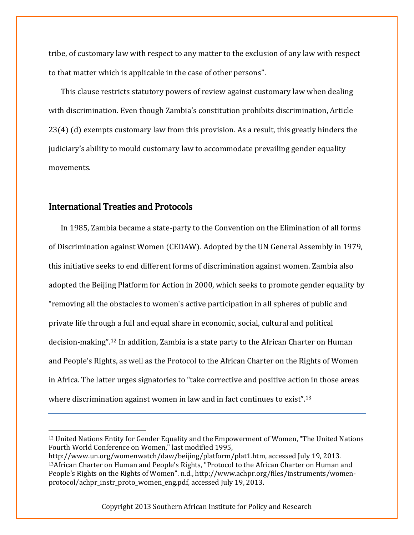tribe, of customary law with respect to any matter to the exclusion of any law with respect to that matter which is applicable in the case of other persons".

This clause restricts statutory powers of review against customary law when dealing with discrimination. Even though Zambia's constitution prohibits discrimination, Article 23(4) (d) exempts customary law from this provision. As a result, this greatly hinders the judiciary's ability to mould customary law to accommodate prevailing gender equality movements.

## International Treaties and Protocols

 $\overline{\phantom{a}}$ 

In 1985, Zambia became a state-party to the Convention on the Elimination of all forms of Discrimination against Women (CEDAW). Adopted by the UN General Assembly in 1979, this initiative seeks to end different forms of discrimination against women. Zambia also adopted the Beijing Platform for Action in 2000, which seeks to promote gender equality by "removing all the obstacles to women's active participation in all spheres of public and private life through a full and equal share in economic, social, cultural and political decision-making".<sup>12</sup> In addition, Zambia is a state party to the African Charter on Human and People's Rights, as well as the Protocol to the African Charter on the Rights of Women in Africa. The latter urges signatories to "take corrective and positive action in those areas where discrimination against women in law and in fact continues to exist".<sup>13</sup>

<sup>12</sup> United Nations Entity for Gender Equality and the Empowerment of Women, "The United Nations Fourth World Conference on Women," last modified 1995,

http://www.un.org/womenwatch/daw/beijing/platform/plat1.htm, accessed July 19, 2013. <sup>13</sup>African Charter on Human and People's Rights, "Protocol to the African Charter on Human and People's Rights on the Rights of Women". n.d., http://www.achpr.org/files/instruments/womenprotocol/achpr\_instr\_proto\_women\_eng.pdf, accessed July 19, 2013.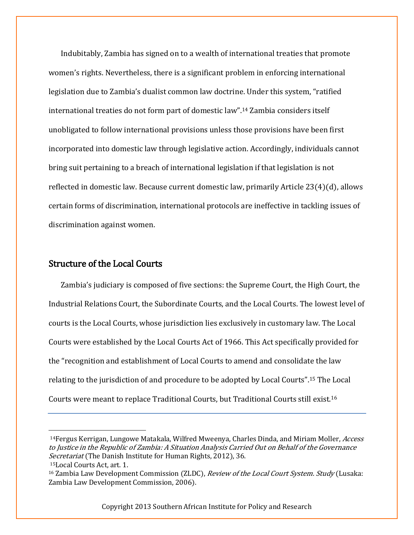Indubitably, Zambia has signed on to a wealth of international treaties that promote women's rights. Nevertheless, there is a significant problem in enforcing international legislation due to Zambia's dualist common law doctrine. Under this system, "ratified international treaties do not form part of domestic law".<sup>14</sup> Zambia considers itself unobligated to follow international provisions unless those provisions have been first incorporated into domestic law through legislative action. Accordingly, individuals cannot bring suit pertaining to a breach of international legislation if that legislation is not reflected in domestic law. Because current domestic law, primarily Article 23(4)(d), allows certain forms of discrimination, international protocols are ineffective in tackling issues of discrimination against women.

## Structure of the Local Courts

Zambia's judiciary is composed of five sections: the Supreme Court, the High Court, the Industrial Relations Court, the Subordinate Courts, and the Local Courts. The lowest level of courts is the Local Courts, whose jurisdiction lies exclusively in customary law. The Local Courts were established by the Local Courts Act of 1966. This Act specifically provided for the "recognition and establishment of Local Courts to amend and consolidate the law relating to the jurisdiction of and procedure to be adopted by Local Courts".<sup>15</sup> The Local Courts were meant to replace Traditional Courts, but Traditional Courts still exist.<sup>16</sup>

 $\overline{\phantom{a}}$ 

<sup>&</sup>lt;sup>14</sup>Fergus Kerrigan, Lungowe Matakala, Wilfred Mweenya, Charles Dinda, and Miriam Moller, *Access* to Justice in the Republic of Zambia: A Situation Analysis Carried Out on Behalf of the Governance Secretariat (The Danish Institute for Human Rights, 2012), 36.

<sup>15</sup>Local Courts Act, art. 1.

<sup>&</sup>lt;sup>16</sup> Zambia Law Development Commission (ZLDC), *Review of the Local Court System. Study* (Lusaka: Zambia Law Development Commission, 2006).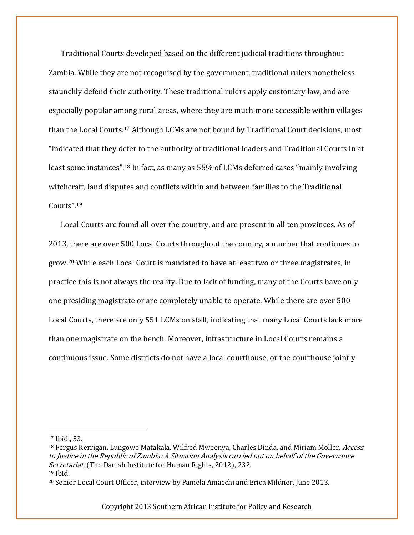Traditional Courts developed based on the different judicial traditions throughout Zambia. While they are not recognised by the government, traditional rulers nonetheless staunchly defend their authority. These traditional rulers apply customary law, and are especially popular among rural areas, where they are much more accessible within villages than the Local Courts.<sup>17</sup> Although LCMs are not bound by Traditional Court decisions, most "indicated that they defer to the authority of traditional leaders and Traditional Courts in at least some instances".<sup>18</sup> In fact, as many as 55% of LCMs deferred cases "mainly involving witchcraft, land disputes and conflicts within and between families to the Traditional Courts".<sup>19</sup>

Local Courts are found all over the country, and are present in all ten provinces. As of 2013, there are over 500 Local Courts throughout the country, a number that continues to grow.<sup>20</sup> While each Local Court is mandated to have at least two or three magistrates, in practice this is not always the reality. Due to lack of funding, many of the Courts have only one presiding magistrate or are completely unable to operate. While there are over 500 Local Courts, there are only 551 LCMs on staff, indicating that many Local Courts lack more than one magistrate on the bench. Moreover, infrastructure in Local Courts remains a continuous issue. Some districts do not have a local courthouse, or the courthouse jointly

<sup>19</sup> Ibid.

 $\overline{\phantom{a}}$ 

<sup>17</sup> Ibid., 53.

<sup>&</sup>lt;sup>18</sup> Fergus Kerrigan, Lungowe Matakala, Wilfred Mweenya, Charles Dinda, and Miriam Moller, *Access* to Justice in the Republic of Zambia: A Situation Analysis carried out on behalf of the Governance Secretariat, (The Danish Institute for Human Rights, 2012), 232.

<sup>20</sup> Senior Local Court Officer, interview by Pamela Amaechi and Erica Mildner, June 2013.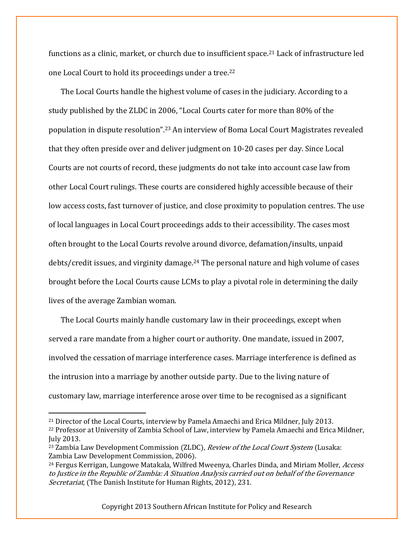functions as a clinic, market, or church due to insufficient space.<sup>21</sup> Lack of infrastructure led one Local Court to hold its proceedings under a tree.<sup>22</sup>

The Local Courts handle the highest volume of cases in the judiciary. According to a study published by the ZLDC in 2006, "Local Courts cater for more than 80% of the population in dispute resolution".<sup>23</sup> An interview of Boma Local Court Magistrates revealed that they often preside over and deliver judgment on 10-20 cases per day. Since Local Courts are not courts of record, these judgments do not take into account case law from other Local Court rulings. These courts are considered highly accessible because of their low access costs, fast turnover of justice, and close proximity to population centres. The use of local languages in Local Court proceedings adds to their accessibility. The cases most often brought to the Local Courts revolve around divorce, defamation/insults, unpaid debts/credit issues, and virginity damage.<sup>24</sup> The personal nature and high volume of cases brought before the Local Courts cause LCMs to play a pivotal role in determining the daily lives of the average Zambian woman.

The Local Courts mainly handle customary law in their proceedings, except when served a rare mandate from a higher court or authority. One mandate, issued in 2007, involved the cessation of marriage interference cases. Marriage interference is defined as the intrusion into a marriage by another outside party. Due to the living nature of customary law, marriage interference arose over time to be recognised as a significant

 $\overline{a}$ 

<sup>21</sup> Director of the Local Courts, interview by Pamela Amaechi and Erica Mildner, July 2013. <sup>22</sup> Professor at University of Zambia School of Law, interview by Pamela Amaechi and Erica Mildner, July 2013.

<sup>&</sup>lt;sup>23</sup> Zambia Law Development Commission (ZLDC), *Review of the Local Court System* (Lusaka: Zambia Law Development Commission, 2006).

<sup>&</sup>lt;sup>24</sup> Fergus Kerrigan, Lungowe Matakala, Wilfred Mweenya, Charles Dinda, and Miriam Moller, *Access* to Justice in the Republic of Zambia: A Situation Analysis carried out on behalf of the Governance Secretariat, (The Danish Institute for Human Rights, 2012), 231.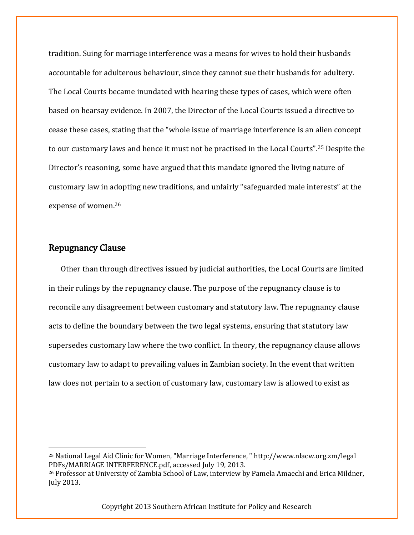tradition. Suing for marriage interference was a means for wives to hold their husbands accountable for adulterous behaviour, since they cannot sue their husbands for adultery. The Local Courts became inundated with hearing these types of cases, which were often based on hearsay evidence. In 2007, the Director of the Local Courts issued a directive to cease these cases, stating that the "whole issue of marriage interference is an alien concept to our customary laws and hence it must not be practised in the Local Courts".<sup>25</sup> Despite the Director's reasoning, some have argued that this mandate ignored the living nature of customary law in adopting new traditions, and unfairly "safeguarded male interests" at the expense of women.<sup>26</sup>

## Repugnancy Clause

 $\overline{\phantom{a}}$ 

Other than through directives issued by judicial authorities, the Local Courts are limited in their rulings by the repugnancy clause. The purpose of the repugnancy clause is to reconcile any disagreement between customary and statutory law. The repugnancy clause acts to define the boundary between the two legal systems, ensuring that statutory law supersedes customary law where the two conflict. In theory, the repugnancy clause allows customary law to adapt to prevailing values in Zambian society. In the event that written law does not pertain to a section of customary law, customary law is allowed to exist as

<sup>25</sup> National Legal Aid Clinic for Women, "Marriage Interference, " http://www.nlacw.org.zm/legal PDFs/MARRIAGE INTERFERENCE.pdf, accessed July 19, 2013.

<sup>26</sup> Professor at University of Zambia School of Law, interview by Pamela Amaechi and Erica Mildner, July 2013.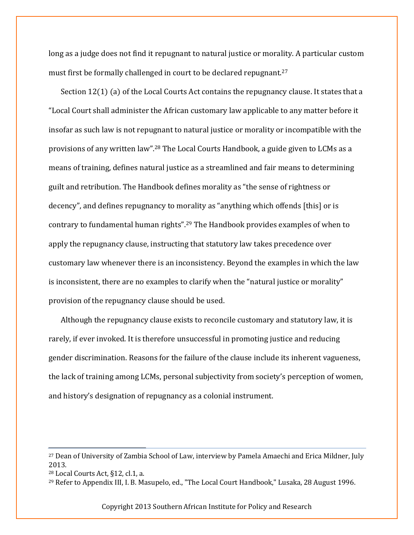long as a judge does not find it repugnant to natural justice or morality. A particular custom must first be formally challenged in court to be declared repugnant.<sup>27</sup>

Section 12(1) (a) of the Local Courts Act contains the repugnancy clause. It states that a "Local Court shall administer the African customary law applicable to any matter before it insofar as such law is not repugnant to natural justice or morality or incompatible with the provisions of any written law".<sup>28</sup> The Local Courts Handbook, a guide given to LCMs as a means of training, defines natural justice as a streamlined and fair means to determining guilt and retribution. The Handbook defines morality as "the sense of rightness or decency", and defines repugnancy to morality as "anything which offends [this] or is contrary to fundamental human rights".<sup>29</sup> The Handbook provides examples of when to apply the repugnancy clause, instructing that statutory law takes precedence over customary law whenever there is an inconsistency. Beyond the examples in which the law is inconsistent, there are no examples to clarify when the "natural justice or morality" provision of the repugnancy clause should be used.

Although the repugnancy clause exists to reconcile customary and statutory law, it is rarely, if ever invoked. It is therefore unsuccessful in promoting justice and reducing gender discrimination. Reasons for the failure of the clause include its inherent vagueness, the lack of training among LCMs, personal subjectivity from society's perception of women, and history's designation of repugnancy as a colonial instrument.

 $\overline{a}$ 

<sup>27</sup> Dean of University of Zambia School of Law, interview by Pamela Amaechi and Erica Mildner, July 2013.

<sup>28</sup> Local Courts Act, §12, cl.1, a.

<sup>29</sup> Refer to Appendix III, I. B. Masupelo, ed., "The Local Court Handbook," Lusaka, 28 August 1996.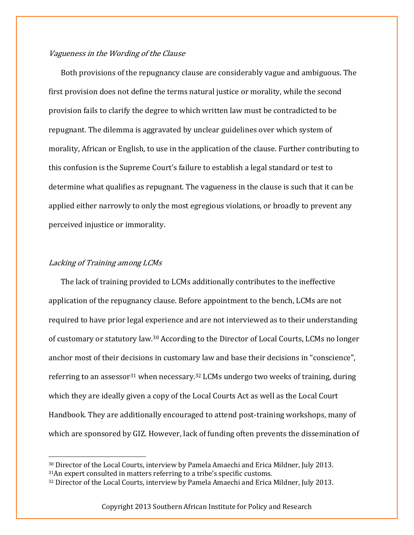#### Vagueness in the Wording of the Clause

Both provisions of the repugnancy clause are considerably vague and ambiguous. The first provision does not define the terms natural justice or morality, while the second provision fails to clarify the degree to which written law must be contradicted to be repugnant. The dilemma is aggravated by unclear guidelines over which system of morality, African or English, to use in the application of the clause. Further contributing to this confusion is the Supreme Court's failure to establish a legal standard or test to determine what qualifies as repugnant. The vagueness in the clause is such that it can be applied either narrowly to only the most egregious violations, or broadly to prevent any perceived injustice or immorality.

#### Lacking of Training among LCMs

l

The lack of training provided to LCMs additionally contributes to the ineffective application of the repugnancy clause. Before appointment to the bench, LCMs are not required to have prior legal experience and are not interviewed as to their understanding of customary or statutory law.<sup>30</sup> According to the Director of Local Courts, LCMs no longer anchor most of their decisions in customary law and base their decisions in "conscience", referring to an assessor<sup>31</sup> when necessary.<sup>32</sup> LCMs undergo two weeks of training, during which they are ideally given a copy of the Local Courts Act as well as the Local Court Handbook. They are additionally encouraged to attend post-training workshops, many of which are sponsored by GIZ. However, lack of funding often prevents the dissemination of

<sup>30</sup> Director of the Local Courts, interview by Pamela Amaechi and Erica Mildner, July 2013. <sup>31</sup>An expert consulted in matters referring to a tribe's specific customs.

<sup>32</sup> Director of the Local Courts, interview by Pamela Amaechi and Erica Mildner, July 2013.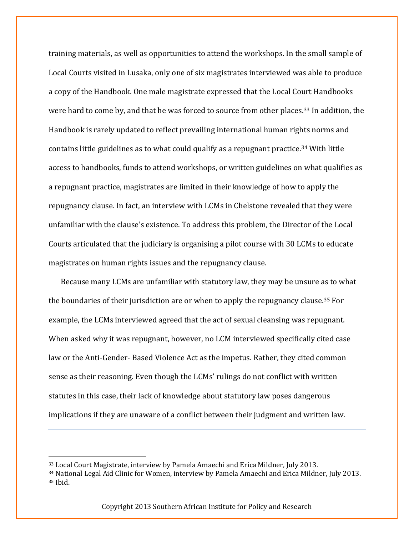training materials, as well as opportunities to attend the workshops. In the small sample of Local Courts visited in Lusaka, only one of six magistrates interviewed was able to produce a copy of the Handbook. One male magistrate expressed that the Local Court Handbooks were hard to come by, and that he was forced to source from other places.<sup>33</sup> In addition, the Handbook is rarely updated to reflect prevailing international human rights norms and contains little guidelines as to what could qualify as a repugnant practice.<sup>34</sup> With little access to handbooks, funds to attend workshops, or written guidelines on what qualifies as a repugnant practice, magistrates are limited in their knowledge of how to apply the repugnancy clause. In fact, an interview with LCMs in Chelstone revealed that they were unfamiliar with the clause's existence. To address this problem, the Director of the Local Courts articulated that the judiciary is organising a pilot course with 30 LCMs to educate magistrates on human rights issues and the repugnancy clause.

Because many LCMs are unfamiliar with statutory law, they may be unsure as to what the boundaries of their jurisdiction are or when to apply the repugnancy clause.<sup>35</sup> For example, the LCMs interviewed agreed that the act of sexual cleansing was repugnant. When asked why it was repugnant, however, no LCM interviewed specifically cited case law or the Anti-Gender- Based Violence Act as the impetus. Rather, they cited common sense as their reasoning. Even though the LCMs' rulings do not conflict with written statutes in this case, their lack of knowledge about statutory law poses dangerous implications if they are unaware of a conflict between their judgment and written law.

l

<sup>33</sup> Local Court Magistrate, interview by Pamela Amaechi and Erica Mildner, July 2013.

<sup>34</sup> National Legal Aid Clinic for Women, interview by Pamela Amaechi and Erica Mildner, July 2013. <sup>35</sup> Ibid.

Copyright 2013 Southern African Institute for Policy and Research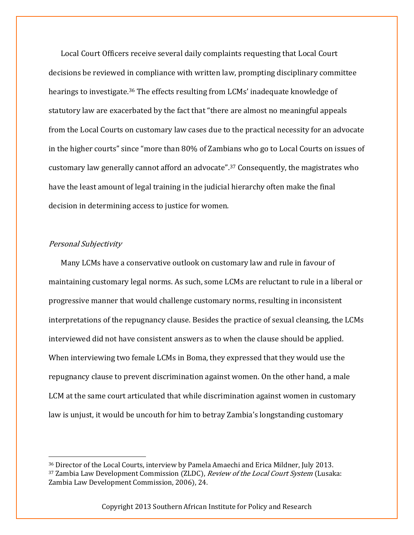Local Court Officers receive several daily complaints requesting that Local Court decisions be reviewed in compliance with written law, prompting disciplinary committee hearings to investigate.<sup>36</sup> The effects resulting from LCMs' inadequate knowledge of statutory law are exacerbated by the fact that "there are almost no meaningful appeals from the Local Courts on customary law cases due to the practical necessity for an advocate in the higher courts" since "more than 80% of Zambians who go to Local Courts on issues of customary law generally cannot afford an advocate".<sup>37</sup> Consequently, the magistrates who have the least amount of legal training in the judicial hierarchy often make the final decision in determining access to justice for women.

#### Personal Subjectivity

l

Many LCMs have a conservative outlook on customary law and rule in favour of maintaining customary legal norms. As such, some LCMs are reluctant to rule in a liberal or progressive manner that would challenge customary norms, resulting in inconsistent interpretations of the repugnancy clause. Besides the practice of sexual cleansing, the LCMs interviewed did not have consistent answers as to when the clause should be applied. When interviewing two female LCMs in Boma, they expressed that they would use the repugnancy clause to prevent discrimination against women. On the other hand, a male LCM at the same court articulated that while discrimination against women in customary law is unjust, it would be uncouth for him to betray Zambia's longstanding customary

<sup>36</sup> Director of the Local Courts, interview by Pamela Amaechi and Erica Mildner, July 2013. 37 Zambia Law Development Commission (ZLDC), Review of the Local Court System (Lusaka: Zambia Law Development Commission, 2006), 24.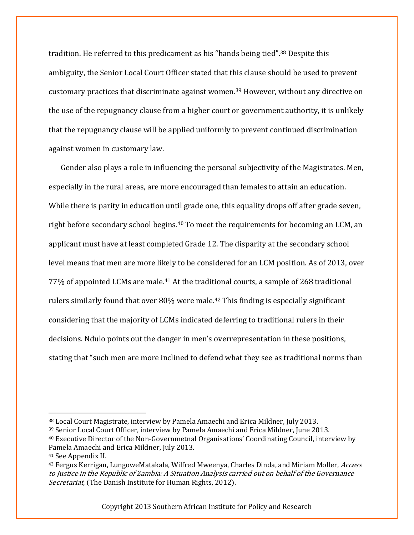tradition. He referred to this predicament as his "hands being tied".<sup>38</sup> Despite this ambiguity, the Senior Local Court Officer stated that this clause should be used to prevent customary practices that discriminate against women.<sup>39</sup> However, without any directive on the use of the repugnancy clause from a higher court or government authority, it is unlikely that the repugnancy clause will be applied uniformly to prevent continued discrimination against women in customary law.

Gender also plays a role in influencing the personal subjectivity of the Magistrates. Men, especially in the rural areas, are more encouraged than females to attain an education. While there is parity in education until grade one, this equality drops off after grade seven, right before secondary school begins.<sup>40</sup> To meet the requirements for becoming an LCM, an applicant must have at least completed Grade 12. The disparity at the secondary school level means that men are more likely to be considered for an LCM position. As of 2013, over 77% of appointed LCMs are male.<sup>41</sup> At the traditional courts, a sample of 268 traditional rulers similarly found that over 80% were male.<sup>42</sup> This finding is especially significant considering that the majority of LCMs indicated deferring to traditional rulers in their decisions. Ndulo points out the danger in men's overrepresentation in these positions, stating that "such men are more inclined to defend what they see as traditional norms than

 $\overline{a}$ 

<sup>38</sup> Local Court Magistrate, interview by Pamela Amaechi and Erica Mildner, July 2013.

<sup>39</sup> Senior Local Court Officer, interview by Pamela Amaechi and Erica Mildner, June 2013.

<sup>40</sup> Executive Director of the Non-Governmetnal Organisations' Coordinating Council, interview by Pamela Amaechi and Erica Mildner, July 2013.

<sup>41</sup> See Appendix II.

<sup>42</sup> Fergus Kerrigan, LungoweMatakala, Wilfred Mweenya, Charles Dinda, and Miriam Moller, Access to Justice in the Republic of Zambia: A Situation Analysis carried out on behalf of the Governance Secretariat, (The Danish Institute for Human Rights, 2012).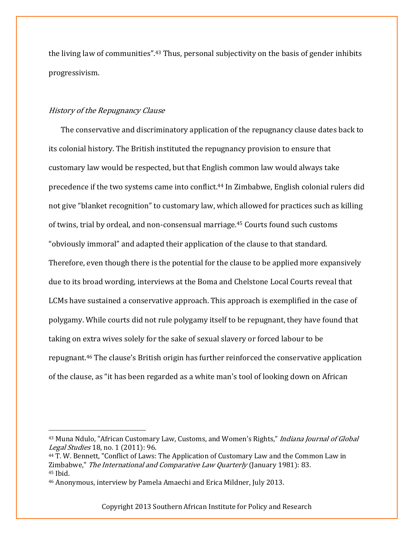the living law of communities".<sup>43</sup> Thus, personal subjectivity on the basis of gender inhibits progressivism.

#### History of the Repugnancy Clause

 $\overline{\phantom{a}}$ 

The conservative and discriminatory application of the repugnancy clause dates back to its colonial history. The British instituted the repugnancy provision to ensure that customary law would be respected, but that English common law would always take precedence if the two systems came into conflict.<sup>44</sup> In Zimbabwe, English colonial rulers did not give "blanket recognition" to customary law, which allowed for practices such as killing of twins, trial by ordeal, and non-consensual marriage.<sup>45</sup> Courts found such customs "obviously immoral" and adapted their application of the clause to that standard. Therefore, even though there is the potential for the clause to be applied more expansively due to its broad wording, interviews at the Boma and Chelstone Local Courts reveal that LCMs have sustained a conservative approach. This approach is exemplified in the case of polygamy. While courts did not rule polygamy itself to be repugnant, they have found that taking on extra wives solely for the sake of sexual slavery or forced labour to be repugnant.<sup>46</sup> The clause's British origin has further reinforced the conservative application of the clause, as "it has been regarded as a white man's tool of looking down on African

<sup>&</sup>lt;sup>43</sup> Muna Ndulo, "African Customary Law, Customs, and Women's Rights," *Indiana Journal of Global* Legal Studies 18, no. 1 (2011): 96.

<sup>44</sup> T. W. Bennett, "Conflict of Laws: The Application of Customary Law and the Common Law in Zimbabwe," The International and Comparative Law Quarterly (January 1981): 83. <sup>45</sup> Ibid.

<sup>46</sup> Anonymous, interview by Pamela Amaechi and Erica Mildner, July 2013.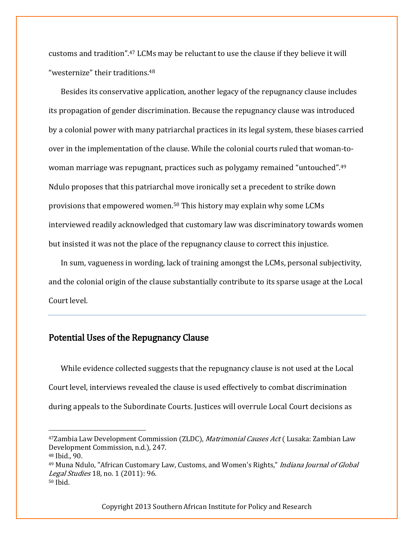customs and tradition".<sup>47</sup> LCMs may be reluctant to use the clause if they believe it will "westernize" their traditions.<sup>48</sup>

Besides its conservative application, another legacy of the repugnancy clause includes its propagation of gender discrimination. Because the repugnancy clause was introduced by a colonial power with many patriarchal practices in its legal system, these biases carried over in the implementation of the clause. While the colonial courts ruled that woman-towoman marriage was repugnant, practices such as polygamy remained "untouched".<sup>49</sup> Ndulo proposes that this patriarchal move ironically set a precedent to strike down provisions that empowered women.<sup>50</sup> This history may explain why some LCMs interviewed readily acknowledged that customary law was discriminatory towards women but insisted it was not the place of the repugnancy clause to correct this injustice.

In sum, vagueness in wording, lack of training amongst the LCMs, personal subjectivity, and the colonial origin of the clause substantially contribute to its sparse usage at the Local Court level.

## Potential Uses of the Repugnancy Clause

While evidence collected suggests that the repugnancy clause is not used at the Local Court level, interviews revealed the clause is used effectively to combat discrimination during appeals to the Subordinate Courts. Justices will overrule Local Court decisions as

 $\overline{\phantom{a}}$ 

<sup>47</sup>Zambia Law Development Commission (ZLDC), Matrimonial Causes Act (Lusaka: Zambian Law Development Commission, n.d.), 247.

<sup>48</sup> Ibid., 90.

<sup>&</sup>lt;sup>49</sup> Muna Ndulo, "African Customary Law, Customs, and Women's Rights," *Indiana Journal of Global* Legal Studies 18, no. 1 (2011): 96. <sup>50</sup> Ibid.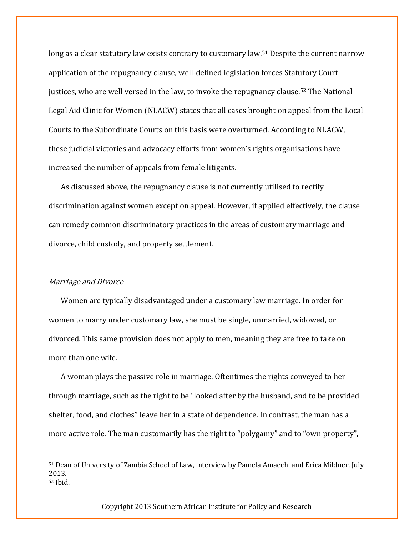long as a clear statutory law exists contrary to customary law.<sup>51</sup> Despite the current narrow application of the repugnancy clause, well-defined legislation forces Statutory Court justices, who are well versed in the law, to invoke the repugnancy clause. <sup>52</sup> The National Legal Aid Clinic for Women (NLACW) states that all cases brought on appeal from the Local Courts to the Subordinate Courts on this basis were overturned. According to NLACW, these judicial victories and advocacy efforts from women's rights organisations have increased the number of appeals from female litigants.

As discussed above, the repugnancy clause is not currently utilised to rectify discrimination against women except on appeal. However, if applied effectively, the clause can remedy common discriminatory practices in the areas of customary marriage and divorce, child custody, and property settlement.

#### Marriage and Divorce

l

Women are typically disadvantaged under a customary law marriage. In order for women to marry under customary law, she must be single, unmarried, widowed, or divorced. This same provision does not apply to men, meaning they are free to take on more than one wife.

A woman plays the passive role in marriage. Oftentimes the rights conveyed to her through marriage, such as the right to be "looked after by the husband, and to be provided shelter, food, and clothes" leave her in a state of dependence. In contrast, the man has a more active role. The man customarily has the right to "polygamy" and to "own property",

<sup>51</sup> Dean of University of Zambia School of Law, interview by Pamela Amaechi and Erica Mildner, July 2013. <sup>52</sup> Ibid.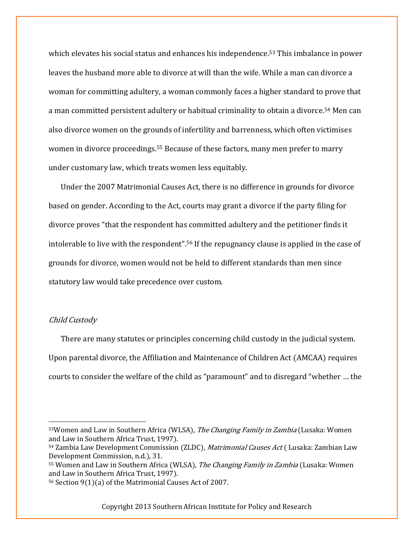which elevates his social status and enhances his independence.<sup>53</sup> This imbalance in power leaves the husband more able to divorce at will than the wife. While a man can divorce a woman for committing adultery, a woman commonly faces a higher standard to prove that a man committed persistent adultery or habitual criminality to obtain a divorce.<sup>54</sup> Men can also divorce women on the grounds of infertility and barrenness, which often victimises women in divorce proceedings.<sup>55</sup> Because of these factors, many men prefer to marry under customary law, which treats women less equitably.

Under the 2007 Matrimonial Causes Act, there is no difference in grounds for divorce based on gender. According to the Act, courts may grant a divorce if the party filing for divorce proves "that the respondent has committed adultery and the petitioner finds it intolerable to live with the respondent".<sup>56</sup> If the repugnancy clause is applied in the case of grounds for divorce, women would not be held to different standards than men since statutory law would take precedence over custom.

#### Child Custody

 $\overline{\phantom{a}}$ 

There are many statutes or principles concerning child custody in the judicial system. Upon parental divorce, the Affiliation and Maintenance of Children Act (AMCAA) requires courts to consider the welfare of the child as "paramount" and to disregard "whether … the

<sup>53</sup>Women and Law in Southern Africa (WLSA), *The Changing Family in Zambia* (Lusaka: Women and Law in Southern Africa Trust, 1997).

<sup>54</sup> Zambia Law Development Commission (ZLDC), Matrimonial Causes Act (Lusaka: Zambian Law Development Commission, n.d.), 31.

<sup>55</sup> Women and Law in Southern Africa (WLSA), The Changing Family in Zambia (Lusaka: Women and Law in Southern Africa Trust, 1997).

<sup>56</sup> Section 9(1)(a) of the Matrimonial Causes Act of 2007.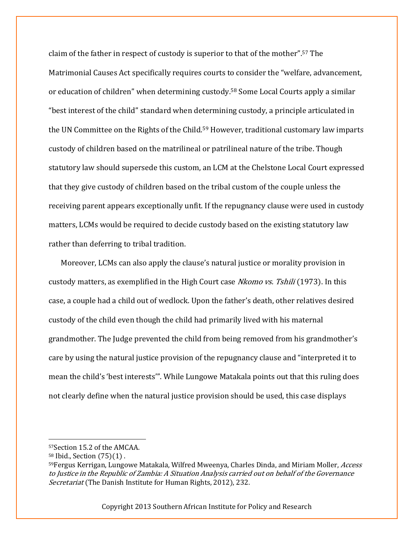claim of the father in respect of custody is superior to that of the mother".<sup>57</sup> The Matrimonial Causes Act specifically requires courts to consider the "welfare, advancement, or education of children" when determining custody. <sup>58</sup> Some Local Courts apply a similar "best interest of the child" standard when determining custody, a principle articulated in the UN Committee on the Rights of the Child.<sup>59</sup> However, traditional customary law imparts custody of children based on the matrilineal or patrilineal nature of the tribe. Though statutory law should supersede this custom, an LCM at the Chelstone Local Court expressed that they give custody of children based on the tribal custom of the couple unless the receiving parent appears exceptionally unfit. If the repugnancy clause were used in custody matters, LCMs would be required to decide custody based on the existing statutory law rather than deferring to tribal tradition.

Moreover, LCMs can also apply the clause's natural justice or morality provision in custody matters, as exemplified in the High Court case Nkomo vs. Tshili (1973). In this case, a couple had a child out of wedlock. Upon the father's death, other relatives desired custody of the child even though the child had primarily lived with his maternal grandmother. The Judge prevented the child from being removed from his grandmother's care by using the natural justice provision of the repugnancy clause and "interpreted it to mean the child's 'best interests'". While Lungowe Matakala points out that this ruling does not clearly define when the natural justice provision should be used, this case displays

 $\overline{\phantom{a}}$ 

<sup>57</sup>Section 15.2 of the AMCAA.

<sup>58</sup> Ibid., Section (75)(1) .

<sup>59</sup> Fergus Kerrigan, Lungowe Matakala, Wilfred Mweenya, Charles Dinda, and Miriam Moller, Access to Justice in the Republic of Zambia: A Situation Analysis carried out on behalf of the Governance Secretariat (The Danish Institute for Human Rights, 2012), 232.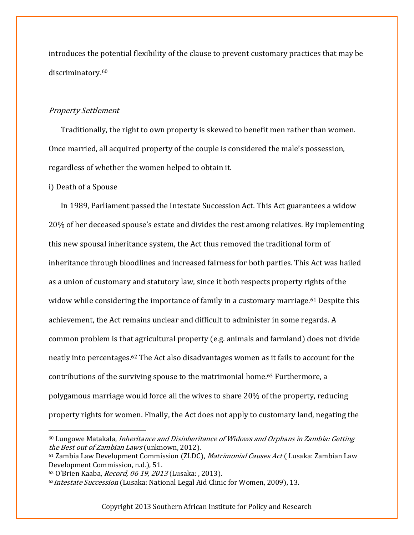introduces the potential flexibility of the clause to prevent customary practices that may be discriminatory. 60

#### Property Settlement

Traditionally, the right to own property is skewed to benefit men rather than women. Once married, all acquired property of the couple is considered the male's possession, regardless of whether the women helped to obtain it.

#### i) Death of a Spouse

 $\overline{\phantom{a}}$ 

In 1989, Parliament passed the Intestate Succession Act. This Act guarantees a widow 20% of her deceased spouse's estate and divides the rest among relatives. By implementing this new spousal inheritance system, the Act thus removed the traditional form of inheritance through bloodlines and increased fairness for both parties. This Act was hailed as a union of customary and statutory law, since it both respects property rights of the widow while considering the importance of family in a customary marriage.<sup>61</sup> Despite this achievement, the Act remains unclear and difficult to administer in some regards. A common problem is that agricultural property (e.g. animals and farmland) does not divide neatly into percentages.<sup>62</sup> The Act also disadvantages women as it fails to account for the contributions of the surviving spouse to the matrimonial home.<sup>63</sup> Furthermore, a polygamous marriage would force all the wives to share 20% of the property, reducing property rights for women. Finally, the Act does not apply to customary land, negating the

 $60$  Lungowe Matakala, *Inheritance and Disinheritance of Widows and Orphans in Zambia: Getting* the Best out of Zambian Laws (unknown, 2012).

<sup>&</sup>lt;sup>61</sup> Zambia Law Development Commission (ZLDC), *Matrimonial Causes Act* (Lusaka: Zambian Law Development Commission, n.d.), 51.

<sup>62</sup> O'Brien Kaaba, Record, 06 19, 2013 (Lusaka: , 2013).

<sup>63</sup> Intestate Succession (Lusaka: National Legal Aid Clinic for Women, 2009), 13.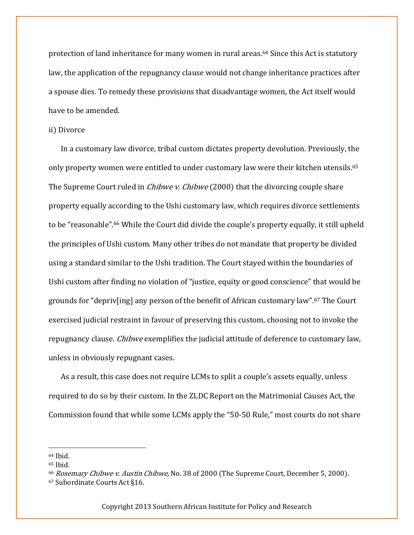protection of land inheritance for many women in rural areas.<sup>64</sup> Since this Act is statutory law, the application of the repugnancy clause would not change inheritance practices after a spouse dies. To remedy these provisions that disadvantage women, the Act itself would have to be amended.

#### ii) Divorce

In a customary law divorce, tribal custom dictates property devolution. Previously, the only property women were entitled to under customary law were their kitchen utensils.<sup>65</sup> The Supreme Court ruled in *Chibwe v. Chibwe* (2000) that the divorcing couple share property equally according to the Ushi customary law, which requires divorce settlements to be "reasonable".<sup>66</sup> While the Court did divide the couple's property equally, it still upheld the principles of Ushi custom. Many other tribes do not mandate that property be divided using a standard similar to the Ushi tradition. The Court stayed within the boundaries of Ushi custom after finding no violation of "justice, equity or good conscience" that would be grounds for "depriv[ing] any person of the benefit of African customary law".<sup>67</sup> The Court exercised judicial restraint in favour of preserving this custom, choosing not to invoke the repugnancy clause. *Chibwe* exemplifies the judicial attitude of deference to customary law, unless in obviously repugnant cases.

As a result, this case does not require LCMs to split a couple's assets equally, unless required to do so by their custom. In the ZLDC Report on the Matrimonial Causes Act, the Commission found that while some LCMs apply the "50-50 Rule," most courts do not share

 $\overline{\phantom{a}}$ 

<sup>64</sup> Ibid.

<sup>65</sup> Ibid.

<sup>66</sup> Rosemary Chibwe v. Austin Chibwe, No. 38 of 2000 (The Supreme Court, December 5, 2000). <sup>67</sup> Subordinate Courts Act §16.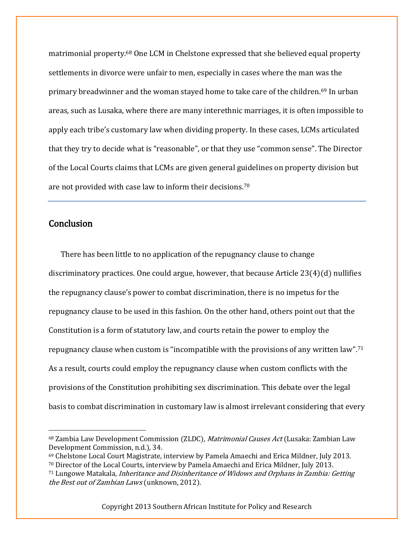matrimonial property.<sup>68</sup> One LCM in Chelstone expressed that she believed equal property settlements in divorce were unfair to men, especially in cases where the man was the primary breadwinner and the woman stayed home to take care of the children.<sup>69</sup> In urban areas, such as Lusaka, where there are many interethnic marriages, it is often impossible to apply each tribe's customary law when dividing property. In these cases, LCMs articulated that they try to decide what is "reasonable", or that they use "common sense". The Director of the Local Courts claims that LCMs are given general guidelines on property division but are not provided with case law to inform their decisions.<sup>70</sup>

## Conclusion

 $\overline{\phantom{a}}$ 

There has been little to no application of the repugnancy clause to change discriminatory practices. One could argue, however, that because Article  $23(4)(d)$  nullifies the repugnancy clause's power to combat discrimination, there is no impetus for the repugnancy clause to be used in this fashion. On the other hand, others point out that the Constitution is a form of statutory law, and courts retain the power to employ the repugnancy clause when custom is "incompatible with the provisions of any written law".<sup>71</sup> As a result, courts could employ the repugnancy clause when custom conflicts with the provisions of the Constitution prohibiting sex discrimination. This debate over the legal basis to combat discrimination in customary law is almost irrelevant considering that every

<sup>&</sup>lt;sup>68</sup> Zambia Law Development Commission (ZLDC), *Matrimonial Causes Act* (Lusaka: Zambian Law Development Commission, n.d.), 34.

<sup>69</sup> Chelstone Local Court Magistrate, interview by Pamela Amaechi and Erica Mildner, July 2013.

<sup>70</sup> Director of the Local Courts, interview by Pamela Amaechi and Erica Mildner, July 2013.

<sup>71</sup> Lungowe Matakala, Inheritance and Disinheritance of Widows and Orphans in Zambia: Getting the Best out of Zambian Laws (unknown, 2012).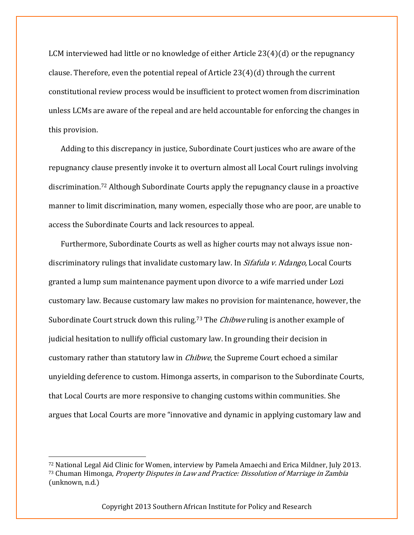LCM interviewed had little or no knowledge of either Article  $23(4)(d)$  or the repugnancy clause. Therefore, even the potential repeal of Article  $23(4)(d)$  through the current constitutional review process would be insufficient to protect women from discrimination unless LCMs are aware of the repeal and are held accountable for enforcing the changes in this provision.

Adding to this discrepancy in justice, Subordinate Court justices who are aware of the repugnancy clause presently invoke it to overturn almost all Local Court rulings involving discrimination.<sup>72</sup> Although Subordinate Courts apply the repugnancy clause in a proactive manner to limit discrimination, many women, especially those who are poor, are unable to access the Subordinate Courts and lack resources to appeal.

Furthermore, Subordinate Courts as well as higher courts may not always issue nondiscriminatory rulings that invalidate customary law. In Sifafula v. Ndango, Local Courts granted a lump sum maintenance payment upon divorce to a wife married under Lozi customary law. Because customary law makes no provision for maintenance, however, the Subordinate Court struck down this ruling.<sup>73</sup> The *Chibwe* ruling is another example of judicial hesitation to nullify official customary law. In grounding their decision in customary rather than statutory law in Chibwe, the Supreme Court echoed a similar unyielding deference to custom. Himonga asserts, in comparison to the Subordinate Courts, that Local Courts are more responsive to changing customs within communities. She argues that Local Courts are more "innovative and dynamic in applying customary law and

l

<sup>72</sup> National Legal Aid Clinic for Women, interview by Pamela Amaechi and Erica Mildner, July 2013. <sup>73</sup> Chuman Himonga, Property Disputes in Law and Practice: Dissolution of Marriage in Zambia (unknown, n.d.)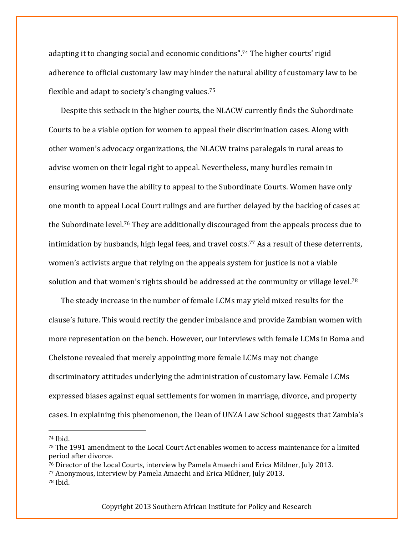adapting it to changing social and economic conditions".<sup>74</sup> The higher courts' rigid adherence to official customary law may hinder the natural ability of customary law to be flexible and adapt to society's changing values.<sup>75</sup>

Despite this setback in the higher courts, the NLACW currently finds the Subordinate Courts to be a viable option for women to appeal their discrimination cases. Along with other women's advocacy organizations, the NLACW trains paralegals in rural areas to advise women on their legal right to appeal. Nevertheless, many hurdles remain in ensuring women have the ability to appeal to the Subordinate Courts. Women have only one month to appeal Local Court rulings and are further delayed by the backlog of cases at the Subordinate level.<sup>76</sup> They are additionally discouraged from the appeals process due to intimidation by husbands, high legal fees, and travel costs. <sup>77</sup> As a result of these deterrents, women's activists argue that relying on the appeals system for justice is not a viable solution and that women's rights should be addressed at the community or village level.<sup>78</sup>

The steady increase in the number of female LCMs may yield mixed results for the clause's future. This would rectify the gender imbalance and provide Zambian women with more representation on the bench. However, our interviews with female LCMs in Boma and Chelstone revealed that merely appointing more female LCMs may not change discriminatory attitudes underlying the administration of customary law. Female LCMs expressed biases against equal settlements for women in marriage, divorce, and property cases. In explaining this phenomenon, the Dean of UNZA Law School suggests that Zambia's

 $\overline{\phantom{a}}$ 

<sup>76</sup> Director of the Local Courts, interview by Pamela Amaechi and Erica Mildner, July 2013.

<sup>77</sup> Anonymous, interview by Pamela Amaechi and Erica Mildner, July 2013.

<sup>74</sup> Ibid.

<sup>75</sup> The 1991 amendment to the Local Court Act enables women to access maintenance for a limited period after divorce.

<sup>78</sup> Ibid.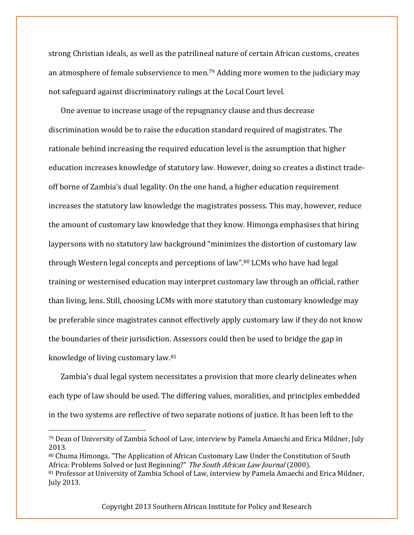strong Christian ideals, as well as the patrilineal nature of certain African customs, creates an atmosphere of female subservience to men.<sup>79</sup> Adding more women to the judiciary may not safeguard against discriminatory rulings at the Local Court level.

One avenue to increase usage of the repugnancy clause and thus decrease discrimination would be to raise the education standard required of magistrates. The rationale behind increasing the required education level is the assumption that higher education increases knowledge of statutory law. However, doing so creates a distinct tradeoff borne of Zambia's dual legality. On the one hand, a higher education requirement increases the statutory law knowledge the magistrates possess. This may, however, reduce the amount of customary law knowledge that they know. Himonga emphasises that hiring laypersons with no statutory law background "minimizes the distortion of customary law through Western legal concepts and perceptions of law".<sup>80</sup> LCMs who have had legal training or westernised education may interpret customary law through an official, rather than living, lens. Still, choosing LCMs with more statutory than customary knowledge may be preferable since magistrates cannot effectively apply customary law if they do not know the boundaries of their jurisdiction. Assessors could then be used to bridge the gap in knowledge of living customary law.<sup>81</sup>

Zambia's dual legal system necessitates a provision that more clearly delineates when each type of law should be used. The differing values, moralities, and principles embedded in the two systems are reflective of two separate notions of justice. It has been left to the

<sup>80</sup> Chuma Himonga, "The Application of African Customary Law Under the Constitution of South Africa: Problems Solved or Just Beginning?" The South African Law Journal (2000).

 $\overline{\phantom{a}}$ 

<sup>79</sup> Dean of University of Zambia School of Law, interview by Pamela Amaechi and Erica Mildner, July 2013.

<sup>81</sup> Professor at University of Zambia School of Law, interview by Pamela Amaechi and Erica Mildner, July 2013.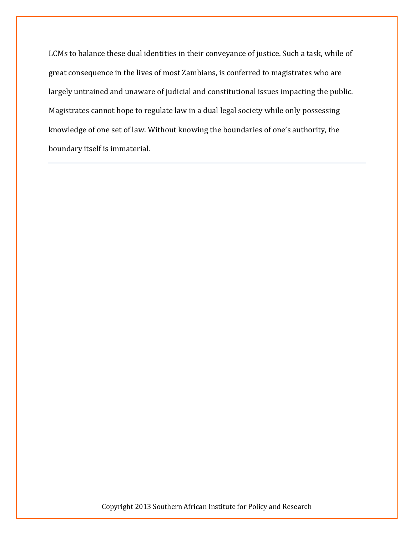LCMs to balance these dual identities in their conveyance of justice. Such a task, while of great consequence in the lives of most Zambians, is conferred to magistrates who are largely untrained and unaware of judicial and constitutional issues impacting the public. Magistrates cannot hope to regulate law in a dual legal society while only possessing knowledge of one set of law. Without knowing the boundaries of one's authority, the boundary itself is immaterial.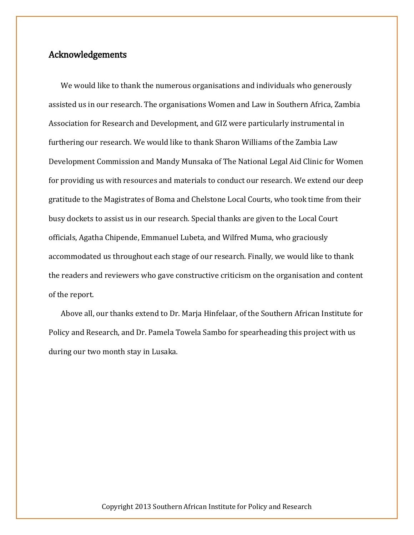## Acknowledgements

We would like to thank the numerous organisations and individuals who generously assisted us in our research. The organisations Women and Law in Southern Africa, Zambia Association for Research and Development, and GIZ were particularly instrumental in furthering our research. We would like to thank Sharon Williams of the Zambia Law Development Commission and Mandy Munsaka of The National Legal Aid Clinic for Women for providing us with resources and materials to conduct our research. We extend our deep gratitude to the Magistrates of Boma and Chelstone Local Courts, who took time from their busy dockets to assist us in our research. Special thanks are given to the Local Court officials, Agatha Chipende, Emmanuel Lubeta, and Wilfred Muma, who graciously accommodated us throughout each stage of our research. Finally, we would like to thank the readers and reviewers who gave constructive criticism on the organisation and content of the report.

Above all, our thanks extend to Dr. Marja Hinfelaar, of the Southern African Institute for Policy and Research, and Dr. Pamela Towela Sambo for spearheading this project with us during our two month stay in Lusaka.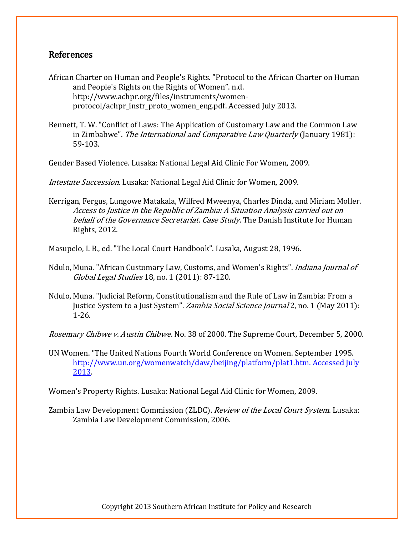## References

- African Charter on Human and People's Rights. "Protocol to the African Charter on Human and People's Rights on the Rights of Women". n.d. http://www.achpr.org/files/instruments/womenprotocol/achpr\_instr\_proto\_women\_eng.pdf. Accessed July 2013.
- Bennett, T. W. "Conflict of Laws: The Application of Customary Law and the Common Law in Zimbabwe". The International and Comparative Law Quarterly (January 1981): 59-103.
- Gender Based Violence. Lusaka: National Legal Aid Clinic For Women, 2009.

Intestate Succession. Lusaka: National Legal Aid Clinic for Women, 2009.

Kerrigan, Fergus, Lungowe Matakala, Wilfred Mweenya, Charles Dinda, and Miriam Moller. Access to Justice in the Republic of Zambia: A Situation Analysis carried out on behalf of the Governance Secretariat. Case Study. The Danish Institute for Human Rights, 2012.

Masupelo, I. B., ed. "The Local Court Handbook". Lusaka, August 28, 1996.

- Ndulo, Muna. "African Customary Law, Customs, and Women's Rights". Indiana Journal of Global Legal Studies 18, no. 1 (2011): 87-120.
- Ndulo, Muna. "Judicial Reform, Constitutionalism and the Rule of Law in Zambia: From a Justice System to a Just System". Zambia Social Science Journal 2, no. 1 (May 2011): 1-26.

Rosemary Chibwe v. Austin Chibwe. No. 38 of 2000. The Supreme Court, December 5, 2000.

UN Women. "The United Nations Fourth World Conference on Women. September 1995. [http://www.un.org/womenwatch/daw/beijing/platform/plat1.htm. Accessed July](http://www.un.org/womenwatch/daw/beijing/platform/plat1.htm.%20Accessed%20July%202013)  [2013.](http://www.un.org/womenwatch/daw/beijing/platform/plat1.htm.%20Accessed%20July%202013)

Women's Property Rights. Lusaka: National Legal Aid Clinic for Women, 2009.

Zambia Law Development Commission (ZLDC). Review of the Local Court System. Lusaka: Zambia Law Development Commission, 2006.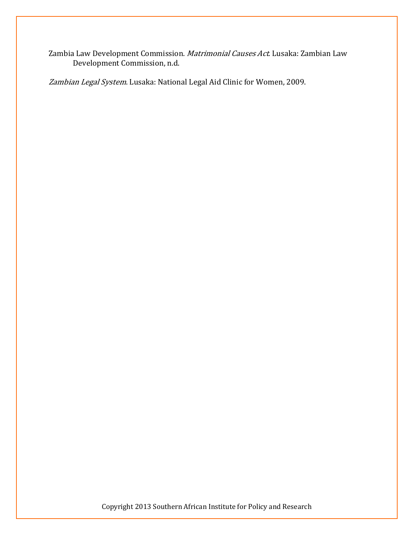Zambia Law Development Commission. Matrimonial Causes Act. Lusaka: Zambian Law Development Commission, n.d.

Zambian Legal System. Lusaka: National Legal Aid Clinic for Women, 2009.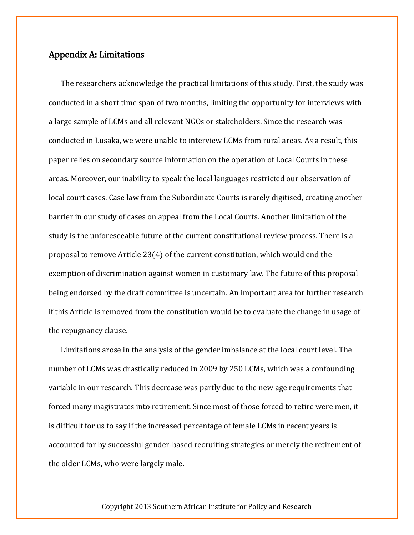## Appendix A: Limitations

The researchers acknowledge the practical limitations of this study. First, the study was conducted in a short time span of two months, limiting the opportunity for interviews with a large sample of LCMs and all relevant NGOs or stakeholders. Since the research was conducted in Lusaka, we were unable to interview LCMs from rural areas. As a result, this paper relies on secondary source information on the operation of Local Courts in these areas. Moreover, our inability to speak the local languages restricted our observation of local court cases. Case law from the Subordinate Courts is rarely digitised, creating another barrier in our study of cases on appeal from the Local Courts. Another limitation of the study is the unforeseeable future of the current constitutional review process. There is a proposal to remove Article 23(4) of the current constitution, which would end the exemption of discrimination against women in customary law. The future of this proposal being endorsed by the draft committee is uncertain. An important area for further research if this Article is removed from the constitution would be to evaluate the change in usage of the repugnancy clause.

Limitations arose in the analysis of the gender imbalance at the local court level. The number of LCMs was drastically reduced in 2009 by 250 LCMs, which was a confounding variable in our research. This decrease was partly due to the new age requirements that forced many magistrates into retirement. Since most of those forced to retire were men, it is difficult for us to say if the increased percentage of female LCMs in recent years is accounted for by successful gender-based recruiting strategies or merely the retirement of the older LCMs, who were largely male.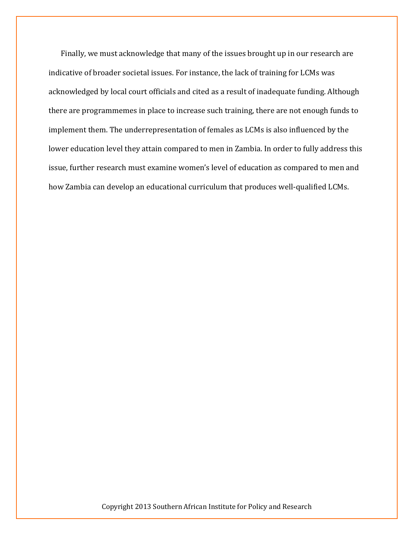Finally, we must acknowledge that many of the issues brought up in our research are indicative of broader societal issues. For instance, the lack of training for LCMs was acknowledged by local court officials and cited as a result of inadequate funding. Although there are programmemes in place to increase such training, there are not enough funds to implement them. The underrepresentation of females as LCMs is also influenced by the lower education level they attain compared to men in Zambia. In order to fully address this issue, further research must examine women's level of education as compared to men and how Zambia can develop an educational curriculum that produces well-qualified LCMs.